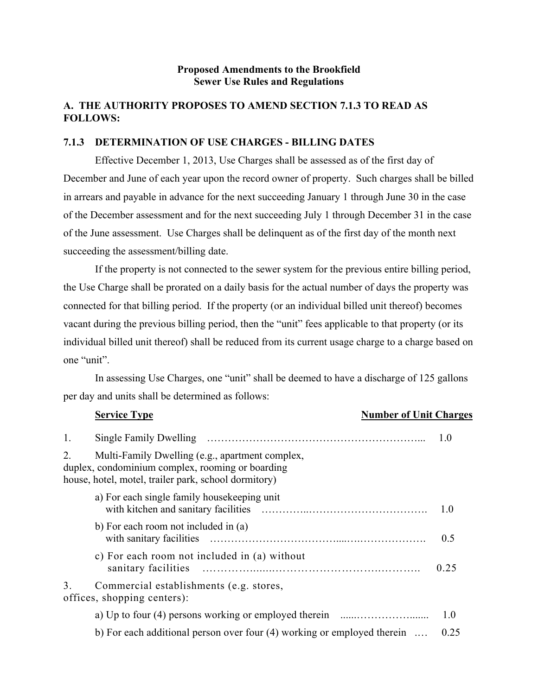#### **Proposed Amendments to the Brookfield Sewer Use Rules and Regulations**

# **A. THE AUTHORITY PROPOSES TO AMEND SECTION 7.1.3 TO READ AS FOLLOWS:**

#### **7.1.3 DETERMINATION OF USE CHARGES - BILLING DATES**

Effective December 1, 2013, Use Charges shall be assessed as of the first day of December and June of each year upon the record owner of property. Such charges shall be billed in arrears and payable in advance for the next succeeding January 1 through June 30 in the case of the December assessment and for the next succeeding July 1 through December 31 in the case of the June assessment. Use Charges shall be delinquent as of the first day of the month next succeeding the assessment/billing date.

If the property is not connected to the sewer system for the previous entire billing period, the Use Charge shall be prorated on a daily basis for the actual number of days the property was connected for that billing period. If the property (or an individual billed unit thereof) becomes vacant during the previous billing period, then the "unit" fees applicable to that property (or its individual billed unit thereof) shall be reduced from its current usage charge to a charge based on one "unit".

In assessing Use Charges, one "unit" shall be deemed to have a discharge of 125 gallons per day and units shall be determined as follows:

|    | <b>Service Type</b>                                                                                                                                         | <b>Number of Unit Charges</b> |      |
|----|-------------------------------------------------------------------------------------------------------------------------------------------------------------|-------------------------------|------|
| 1. |                                                                                                                                                             |                               | 1.0  |
| 2. | Multi-Family Dwelling (e.g., apartment complex,<br>duplex, condominium complex, rooming or boarding<br>house, hotel, motel, trailer park, school dormitory) |                               |      |
|    | a) For each single family house keeping unit                                                                                                                |                               | 1.0  |
|    | b) For each room not included in (a)                                                                                                                        |                               | 0.5  |
|    | c) For each room not included in (a) without                                                                                                                |                               | 0.25 |
| 3  | Commercial establishments (e.g. stores,<br>offices, shopping centers):                                                                                      |                               |      |
|    |                                                                                                                                                             |                               | 1.0  |
|    | b) For each additional person over four $(4)$ working or employed therein $\dots$                                                                           |                               | 0.25 |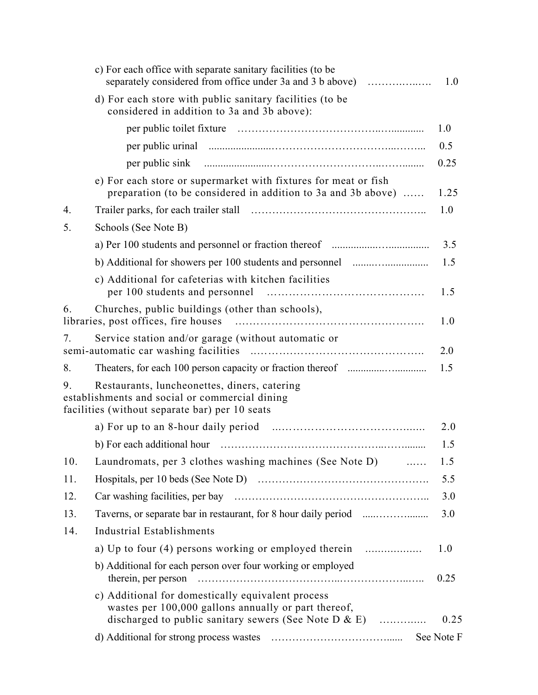|     | c) For each office with separate sanitary facilities (to be<br>separately considered from office under 3a and 3 b above)                                           | 1.0        |
|-----|--------------------------------------------------------------------------------------------------------------------------------------------------------------------|------------|
|     | d) For each store with public sanitary facilities (to be<br>considered in addition to 3a and 3b above):                                                            |            |
|     |                                                                                                                                                                    | 1.0        |
|     |                                                                                                                                                                    | 0.5        |
|     |                                                                                                                                                                    | 0.25       |
|     | e) For each store or supermarket with fixtures for meat or fish<br>preparation (to be considered in addition to 3a and 3b above)                                   | 1.25       |
| 4.  |                                                                                                                                                                    | 1.0        |
| 5.  | Schools (See Note B)                                                                                                                                               |            |
|     |                                                                                                                                                                    | 3.5        |
|     |                                                                                                                                                                    | 1.5        |
|     | c) Additional for cafeterias with kitchen facilities                                                                                                               | 1.5        |
| 6.  | Churches, public buildings (other than schools),                                                                                                                   | 1.0        |
| 7.  | Service station and/or garage (without automatic or                                                                                                                | 2.0        |
| 8.  |                                                                                                                                                                    | 1.5        |
| 9.  | Restaurants, luncheonettes, diners, catering<br>establishments and social or commercial dining<br>facilities (without separate bar) per 10 seats                   |            |
|     |                                                                                                                                                                    | 2.0        |
|     |                                                                                                                                                                    | 1.5        |
| 10. | Laundromats, per 3 clothes washing machines (See Note D)                                                                                                           | 1.5        |
| 11. |                                                                                                                                                                    | 5.5        |
| 12. |                                                                                                                                                                    | 3.0        |
| 13. |                                                                                                                                                                    | 3.0        |
| 14. | Industrial Establishments                                                                                                                                          |            |
|     |                                                                                                                                                                    | 1.0        |
|     | b) Additional for each person over four working or employed                                                                                                        | 0.25       |
|     | c) Additional for domestically equivalent process<br>wastes per 100,000 gallons annually or part thereof,<br>discharged to public sanitary sewers (See Note D & E) | 0.25       |
|     |                                                                                                                                                                    | See Note F |
|     |                                                                                                                                                                    |            |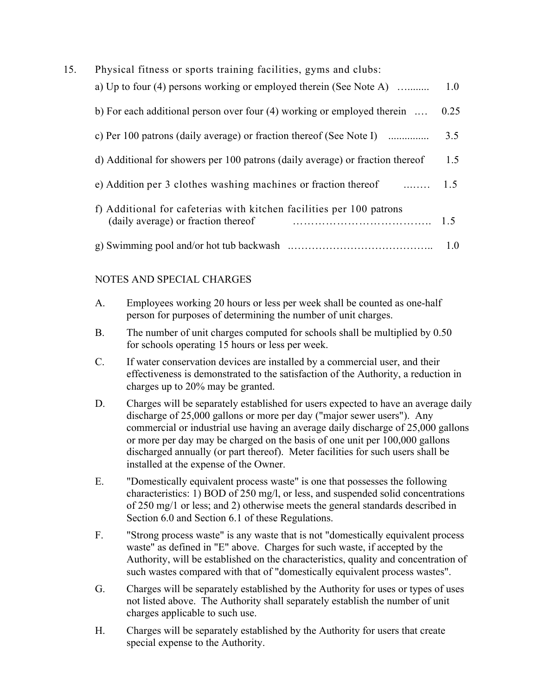| 15. | Physical fitness or sports training facilities, gyms and clubs:                                             |      |
|-----|-------------------------------------------------------------------------------------------------------------|------|
|     | a) Up to four (4) persons working or employed therein (See Note A)                                          | 1.0  |
|     | b) For each additional person over four $(4)$ working or employed therein $\dots$                           | 0.25 |
|     | c) Per 100 patrons (daily average) or fraction thereof (See Note I)                                         | 3.5  |
|     | d) Additional for showers per 100 patrons (daily average) or fraction thereof                               | 1.5  |
|     | e) Addition per 3 clothes washing machines or fraction thereof<br>$\ldots \ldots \ldots 1.5$                |      |
|     | f) Additional for cafeterias with kitchen facilities per 100 patrons<br>(daily average) or fraction thereof | 1.5  |
|     |                                                                                                             | 1.0  |

# NOTES AND SPECIAL CHARGES

| A. | Employees working 20 hours or less per week shall be counted as one-half |
|----|--------------------------------------------------------------------------|
|    | person for purposes of determining the number of unit charges.           |

- B. The number of unit charges computed for schools shall be multiplied by 0.50 for schools operating 15 hours or less per week.
- C. If water conservation devices are installed by a commercial user, and their effectiveness is demonstrated to the satisfaction of the Authority, a reduction in charges up to 20% may be granted.
- D. Charges will be separately established for users expected to have an average daily discharge of 25,000 gallons or more per day ("major sewer users"). Any commercial or industrial use having an average daily discharge of 25,000 gallons or more per day may be charged on the basis of one unit per 100,000 gallons discharged annually (or part thereof). Meter facilities for such users shall be installed at the expense of the Owner.
- E. "Domestically equivalent process waste" is one that possesses the following characteristics: 1) BOD of 250 mg/l, or less, and suspended solid concentrations of 250 mg/1 or less; and 2) otherwise meets the general standards described in Section 6.0 and Section 6.1 of these Regulations.
- F. "Strong process waste" is any waste that is not "domestically equivalent process waste" as defined in "E" above. Charges for such waste, if accepted by the Authority, will be established on the characteristics, quality and concentration of such wastes compared with that of "domestically equivalent process wastes".
- G. Charges will be separately established by the Authority for uses or types of uses not listed above. The Authority shall separately establish the number of unit charges applicable to such use.
- H. Charges will be separately established by the Authority for users that create special expense to the Authority.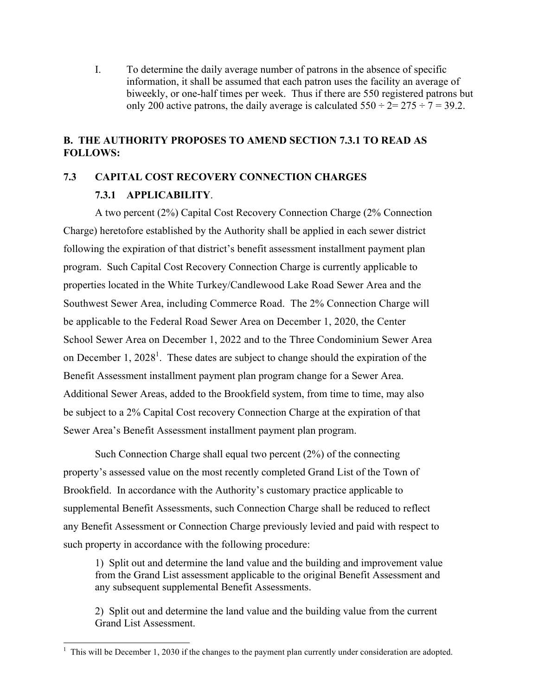I. To determine the daily average number of patrons in the absence of specific information, it shall be assumed that each patron uses the facility an average of biweekly, or one-half times per week. Thus if there are 550 registered patrons but only 200 active patrons, the daily average is calculated  $550 \div 2 = 275 \div 7 = 39.2$ .

## **B. THE AUTHORITY PROPOSES TO AMEND SECTION 7.3.1 TO READ AS FOLLOWS:**

# **7.3 CAPITAL COST RECOVERY CONNECTION CHARGES**

### **7.3.1 APPLICABILITY**.

A two percent (2%) Capital Cost Recovery Connection Charge (2% Connection Charge) heretofore established by the Authority shall be applied in each sewer district following the expiration of that district's benefit assessment installment payment plan program. Such Capital Cost Recovery Connection Charge is currently applicable to properties located in the White Turkey/Candlewood Lake Road Sewer Area and the Southwest Sewer Area, including Commerce Road. The 2% Connection Charge will be applicable to the Federal Road Sewer Area on December 1, 2020, the Center School Sewer Area on December 1, 2022 and to the Three Condominium Sewer Area on December 1, 2028<sup>1</sup>. These dates are subject to change should the expiration of the Benefit Assessment installment payment plan program change for a Sewer Area. Additional Sewer Areas, added to the Brookfield system, from time to time, may also be subject to a 2% Capital Cost recovery Connection Charge at the expiration of that Sewer Area's Benefit Assessment installment payment plan program.

Such Connection Charge shall equal two percent (2%) of the connecting property's assessed value on the most recently completed Grand List of the Town of Brookfield. In accordance with the Authority's customary practice applicable to supplemental Benefit Assessments, such Connection Charge shall be reduced to reflect any Benefit Assessment or Connection Charge previously levied and paid with respect to such property in accordance with the following procedure:

1) Split out and determine the land value and the building and improvement value from the Grand List assessment applicable to the original Benefit Assessment and any subsequent supplemental Benefit Assessments.

2) Split out and determine the land value and the building value from the current Grand List Assessment.

<sup>&</sup>lt;sup>1</sup> This will be December 1, 2030 if the changes to the payment plan currently under consideration are adopted.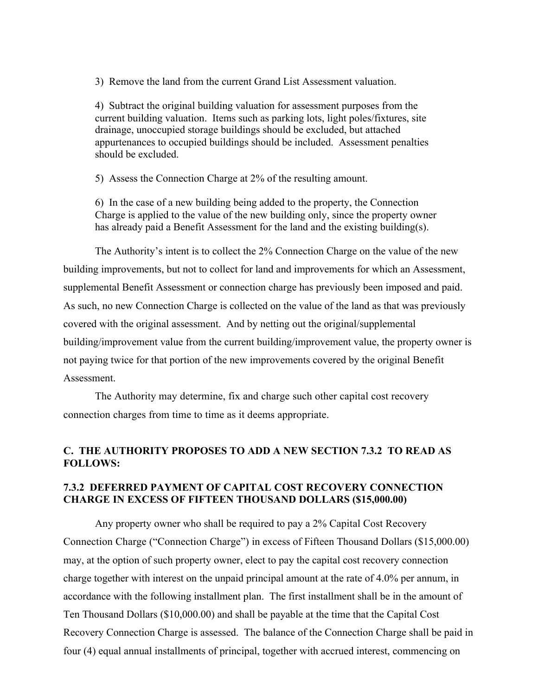3) Remove the land from the current Grand List Assessment valuation.

4) Subtract the original building valuation for assessment purposes from the current building valuation. Items such as parking lots, light poles/fixtures, site drainage, unoccupied storage buildings should be excluded, but attached appurtenances to occupied buildings should be included. Assessment penalties should be excluded.

5) Assess the Connection Charge at 2% of the resulting amount.

6) In the case of a new building being added to the property, the Connection Charge is applied to the value of the new building only, since the property owner has already paid a Benefit Assessment for the land and the existing building(s).

The Authority's intent is to collect the 2% Connection Charge on the value of the new building improvements, but not to collect for land and improvements for which an Assessment, supplemental Benefit Assessment or connection charge has previously been imposed and paid. As such, no new Connection Charge is collected on the value of the land as that was previously covered with the original assessment. And by netting out the original/supplemental building/improvement value from the current building/improvement value, the property owner is not paying twice for that portion of the new improvements covered by the original Benefit **Assessment** 

The Authority may determine, fix and charge such other capital cost recovery connection charges from time to time as it deems appropriate.

# **C. THE AUTHORITY PROPOSES TO ADD A NEW SECTION 7.3.2 TO READ AS FOLLOWS:**

### **7.3.2 DEFERRED PAYMENT OF CAPITAL COST RECOVERY CONNECTION CHARGE IN EXCESS OF FIFTEEN THOUSAND DOLLARS (\$15,000.00)**

Any property owner who shall be required to pay a 2% Capital Cost Recovery Connection Charge ("Connection Charge") in excess of Fifteen Thousand Dollars (\$15,000.00) may, at the option of such property owner, elect to pay the capital cost recovery connection charge together with interest on the unpaid principal amount at the rate of 4.0% per annum, in accordance with the following installment plan. The first installment shall be in the amount of Ten Thousand Dollars (\$10,000.00) and shall be payable at the time that the Capital Cost Recovery Connection Charge is assessed. The balance of the Connection Charge shall be paid in four (4) equal annual installments of principal, together with accrued interest, commencing on